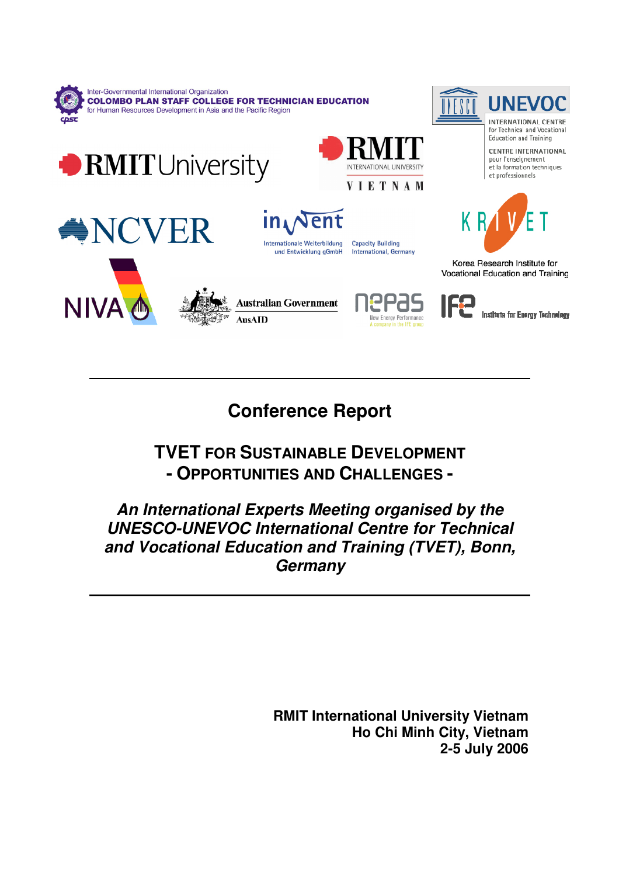

# **Conference Report**

# **TVET FOR SUSTAINABLE DEVELOPMENT - OPPORTUNITIES AND CHALLENGES -**

# **An International Experts Meeting organised by the UNESCO-UNEVOC International Centre for Technical and Vocational Education and Training (TVET), Bonn, Germany**

**RMIT International University Vietnam Ho Chi Minh City, Vietnam 2-5 July 2006**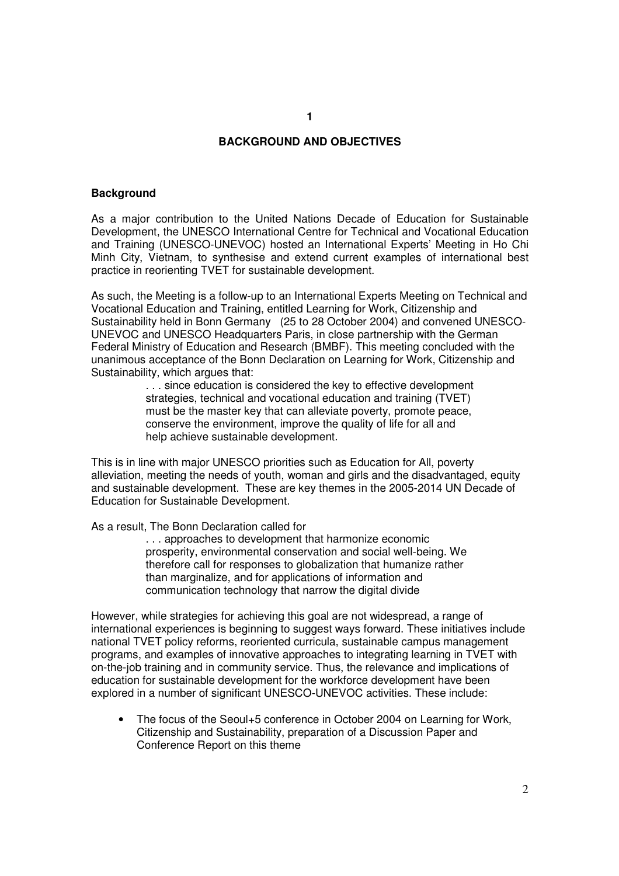### **BACKGROUND AND OBJECTIVES**

#### **Background**

As a major contribution to the United Nations Decade of Education for Sustainable Development, the UNESCO International Centre for Technical and Vocational Education and Training (UNESCO-UNEVOC) hosted an International Experts' Meeting in Ho Chi Minh City, Vietnam, to synthesise and extend current examples of international best practice in reorienting TVET for sustainable development.

As such, the Meeting is a follow-up to an International Experts Meeting on Technical and Vocational Education and Training, entitled Learning for Work, Citizenship and Sustainability held in Bonn Germany (25 to 28 October 2004) and convened UNESCO-UNEVOC and UNESCO Headquarters Paris, in close partnership with the German Federal Ministry of Education and Research (BMBF). This meeting concluded with the unanimous acceptance of the Bonn Declaration on Learning for Work, Citizenship and Sustainability, which argues that:

> . . . since education is considered the key to effective development strategies, technical and vocational education and training (TVET) must be the master key that can alleviate poverty, promote peace, conserve the environment, improve the quality of life for all and help achieve sustainable development.

This is in line with major UNESCO priorities such as Education for All, poverty alleviation, meeting the needs of youth, woman and girls and the disadvantaged, equity and sustainable development. These are key themes in the 2005-2014 UN Decade of Education for Sustainable Development.

As a result, The Bonn Declaration called for

. . . approaches to development that harmonize economic prosperity, environmental conservation and social well-being. We therefore call for responses to globalization that humanize rather than marginalize, and for applications of information and communication technology that narrow the digital divide

However, while strategies for achieving this goal are not widespread, a range of international experiences is beginning to suggest ways forward. These initiatives include national TVET policy reforms, reoriented curricula, sustainable campus management programs, and examples of innovative approaches to integrating learning in TVET with on-the-job training and in community service. Thus, the relevance and implications of education for sustainable development for the workforce development have been explored in a number of significant UNESCO-UNEVOC activities. These include:

• The focus of the Seoul+5 conference in October 2004 on Learning for Work, Citizenship and Sustainability, preparation of a Discussion Paper and Conference Report on this theme

**1**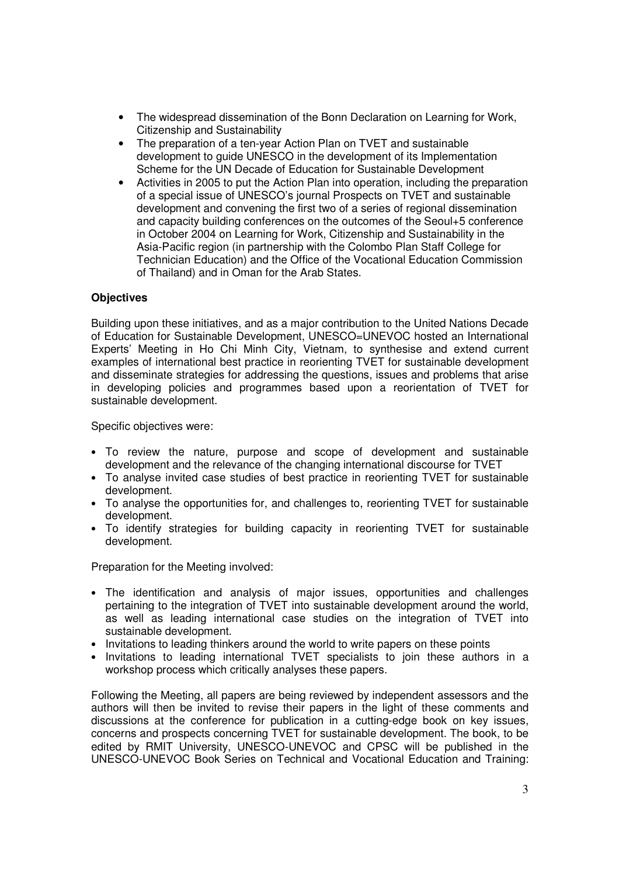- The widespread dissemination of the Bonn Declaration on Learning for Work, Citizenship and Sustainability
- The preparation of a ten-year Action Plan on TVET and sustainable development to guide UNESCO in the development of its Implementation Scheme for the UN Decade of Education for Sustainable Development
- Activities in 2005 to put the Action Plan into operation, including the preparation of a special issue of UNESCO's journal Prospects on TVET and sustainable development and convening the first two of a series of regional dissemination and capacity building conferences on the outcomes of the Seoul+5 conference in October 2004 on Learning for Work, Citizenship and Sustainability in the Asia-Pacific region (in partnership with the Colombo Plan Staff College for Technician Education) and the Office of the Vocational Education Commission of Thailand) and in Oman for the Arab States.

### **Objectives**

Building upon these initiatives, and as a major contribution to the United Nations Decade of Education for Sustainable Development, UNESCO=UNEVOC hosted an International Experts' Meeting in Ho Chi Minh City, Vietnam, to synthesise and extend current examples of international best practice in reorienting TVET for sustainable development and disseminate strategies for addressing the questions, issues and problems that arise in developing policies and programmes based upon a reorientation of TVET for sustainable development.

Specific objectives were:

- To review the nature, purpose and scope of development and sustainable development and the relevance of the changing international discourse for TVET
- To analyse invited case studies of best practice in reorienting TVET for sustainable development.
- To analyse the opportunities for, and challenges to, reorienting TVET for sustainable development.
- To identify strategies for building capacity in reorienting TVET for sustainable development.

Preparation for the Meeting involved:

- The identification and analysis of major issues, opportunities and challenges pertaining to the integration of TVET into sustainable development around the world, as well as leading international case studies on the integration of TVET into sustainable development.
- Invitations to leading thinkers around the world to write papers on these points
- Invitations to leading international TVET specialists to join these authors in a workshop process which critically analyses these papers.

Following the Meeting, all papers are being reviewed by independent assessors and the authors will then be invited to revise their papers in the light of these comments and discussions at the conference for publication in a cutting-edge book on key issues, concerns and prospects concerning TVET for sustainable development. The book, to be edited by RMIT University, UNESCO-UNEVOC and CPSC will be published in the UNESCO-UNEVOC Book Series on Technical and Vocational Education and Training: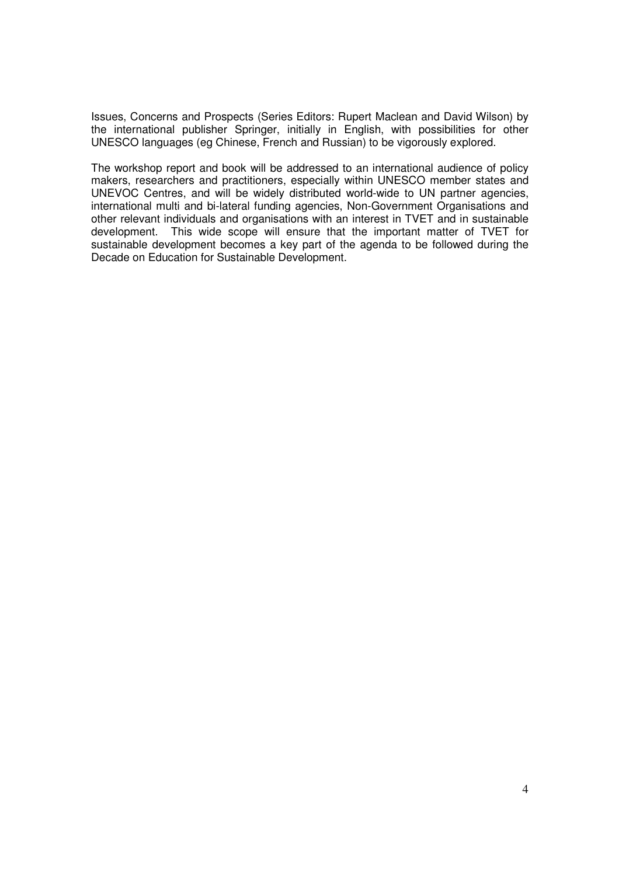Issues, Concerns and Prospects (Series Editors: Rupert Maclean and David Wilson) by the international publisher Springer, initially in English, with possibilities for other UNESCO languages (eg Chinese, French and Russian) to be vigorously explored.

The workshop report and book will be addressed to an international audience of policy makers, researchers and practitioners, especially within UNESCO member states and UNEVOC Centres, and will be widely distributed world-wide to UN partner agencies, international multi and bi-lateral funding agencies, Non-Government Organisations and other relevant individuals and organisations with an interest in TVET and in sustainable development. This wide scope will ensure that the important matter of TVET for sustainable development becomes a key part of the agenda to be followed during the Decade on Education for Sustainable Development.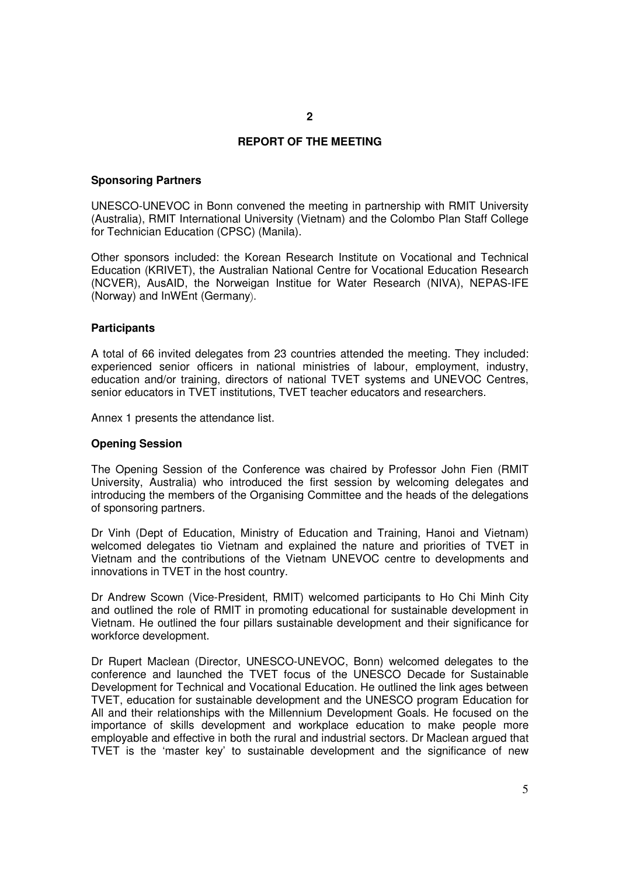### **REPORT OF THE MEETING**

#### **Sponsoring Partners**

UNESCO-UNEVOC in Bonn convened the meeting in partnership with RMIT University (Australia), RMIT International University (Vietnam) and the Colombo Plan Staff College for Technician Education (CPSC) (Manila).

Other sponsors included: the Korean Research Institute on Vocational and Technical Education (KRIVET), the Australian National Centre for Vocational Education Research (NCVER), AusAID, the Norweigan Institue for Water Research (NIVA), NEPAS-IFE (Norway) and InWEnt (Germany).

#### **Participants**

A total of 66 invited delegates from 23 countries attended the meeting. They included: experienced senior officers in national ministries of labour, employment, industry, education and/or training, directors of national TVET systems and UNEVOC Centres, senior educators in TVET institutions, TVET teacher educators and researchers.

Annex 1 presents the attendance list.

#### **Opening Session**

The Opening Session of the Conference was chaired by Professor John Fien (RMIT University, Australia) who introduced the first session by welcoming delegates and introducing the members of the Organising Committee and the heads of the delegations of sponsoring partners.

Dr Vinh (Dept of Education, Ministry of Education and Training, Hanoi and Vietnam) welcomed delegates tio Vietnam and explained the nature and priorities of TVET in Vietnam and the contributions of the Vietnam UNEVOC centre to developments and innovations in TVET in the host country.

Dr Andrew Scown (Vice-President, RMIT) welcomed participants to Ho Chi Minh City and outlined the role of RMIT in promoting educational for sustainable development in Vietnam. He outlined the four pillars sustainable development and their significance for workforce development.

Dr Rupert Maclean (Director, UNESCO-UNEVOC, Bonn) welcomed delegates to the conference and launched the TVET focus of the UNESCO Decade for Sustainable Development for Technical and Vocational Education. He outlined the link ages between TVET, education for sustainable development and the UNESCO program Education for All and their relationships with the Millennium Development Goals. He focused on the importance of skills development and workplace education to make people more employable and effective in both the rural and industrial sectors. Dr Maclean argued that TVET is the 'master key' to sustainable development and the significance of new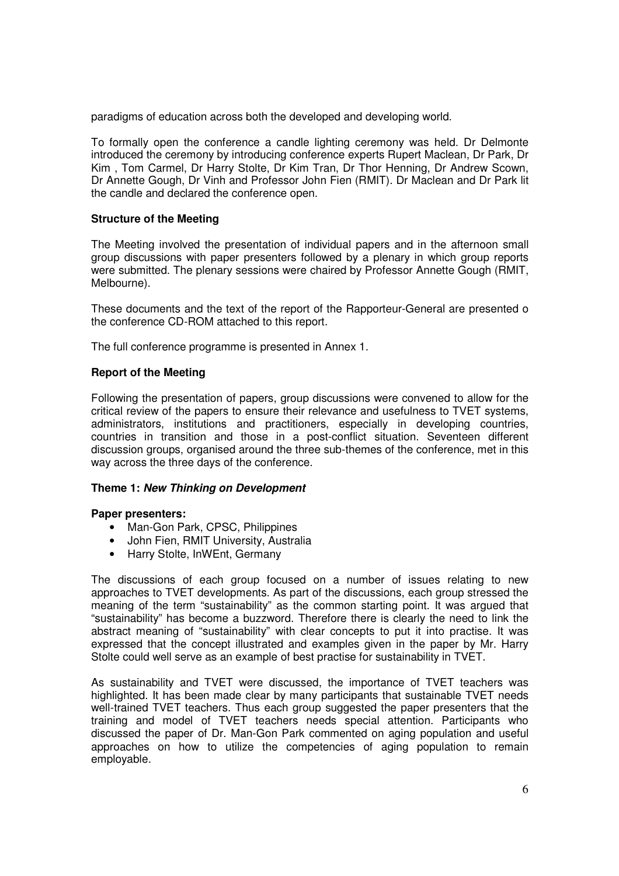paradigms of education across both the developed and developing world.

To formally open the conference a candle lighting ceremony was held. Dr Delmonte introduced the ceremony by introducing conference experts Rupert Maclean, Dr Park, Dr Kim , Tom Carmel, Dr Harry Stolte, Dr Kim Tran, Dr Thor Henning, Dr Andrew Scown, Dr Annette Gough, Dr Vinh and Professor John Fien (RMIT). Dr Maclean and Dr Park lit the candle and declared the conference open.

### **Structure of the Meeting**

The Meeting involved the presentation of individual papers and in the afternoon small group discussions with paper presenters followed by a plenary in which group reports were submitted. The plenary sessions were chaired by Professor Annette Gough (RMIT, Melbourne).

These documents and the text of the report of the Rapporteur-General are presented o the conference CD-ROM attached to this report.

The full conference programme is presented in Annex 1.

### **Report of the Meeting**

Following the presentation of papers, group discussions were convened to allow for the critical review of the papers to ensure their relevance and usefulness to TVET systems, administrators, institutions and practitioners, especially in developing countries, countries in transition and those in a post-conflict situation. Seventeen different discussion groups, organised around the three sub-themes of the conference, met in this way across the three days of the conference.

### **Theme 1: New Thinking on Development**

### **Paper presenters:**

- Man-Gon Park, CPSC, Philippines
- John Fien, RMIT University, Australia
- Harry Stolte, InWEnt, Germany

The discussions of each group focused on a number of issues relating to new approaches to TVET developments. As part of the discussions, each group stressed the meaning of the term "sustainability" as the common starting point. It was argued that "sustainability" has become a buzzword. Therefore there is clearly the need to link the abstract meaning of "sustainability" with clear concepts to put it into practise. It was expressed that the concept illustrated and examples given in the paper by Mr. Harry Stolte could well serve as an example of best practise for sustainability in TVET.

As sustainability and TVET were discussed, the importance of TVET teachers was highlighted. It has been made clear by many participants that sustainable TVET needs well-trained TVET teachers. Thus each group suggested the paper presenters that the training and model of TVET teachers needs special attention. Participants who discussed the paper of Dr. Man-Gon Park commented on aging population and useful approaches on how to utilize the competencies of aging population to remain employable.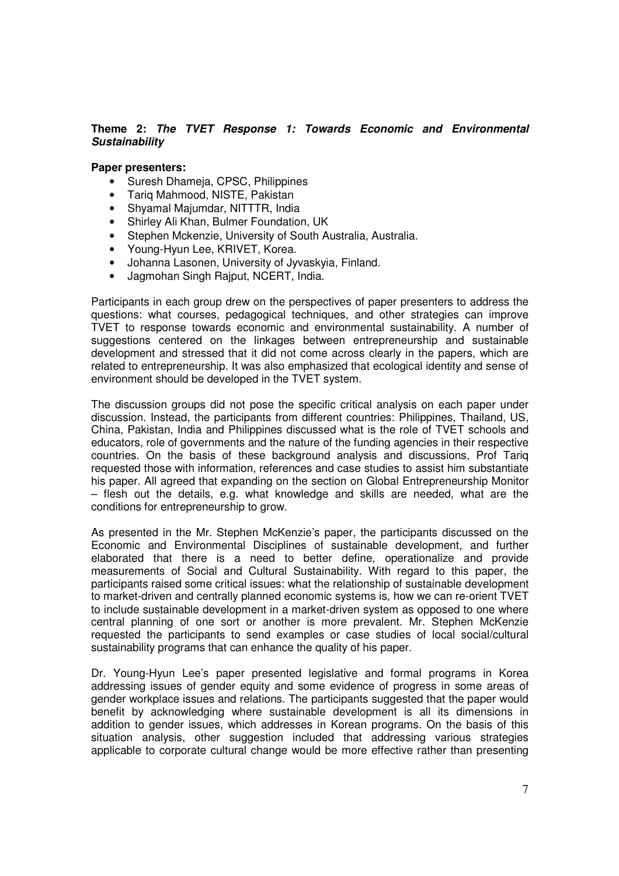### **Theme 2: The TVET Response 1: Towards Economic and Environmental Sustainability**

### **Paper presenters:**

- Suresh Dhameja, CPSC, Philippines
- Tariq Mahmood, NISTE, Pakistan
- Shyamal Majumdar, NITTTR, India
- Shirley Ali Khan, Bulmer Foundation, UK
- Stephen Mckenzie, University of South Australia, Australia.
- Young-Hyun Lee, KRIVET, Korea.
- Johanna Lasonen, University of Jyvaskyia, Finland.
- Jagmohan Singh Rajput, NCERT, India.

Participants in each group drew on the perspectives of paper presenters to address the questions: what courses, pedagogical techniques, and other strategies can improve TVET to response towards economic and environmental sustainability. A number of suggestions centered on the linkages between entrepreneurship and sustainable development and stressed that it did not come across clearly in the papers, which are related to entrepreneurship. It was also emphasized that ecological identity and sense of environment should be developed in the TVET system.

The discussion groups did not pose the specific critical analysis on each paper under discussion. Instead, the participants from different countries: Philippines, Thailand, US, China, Pakistan, India and Philippines discussed what is the role of TVET schools and educators, role of governments and the nature of the funding agencies in their respective countries. On the basis of these background analysis and discussions, Prof Tariq requested those with information, references and case studies to assist him substantiate his paper. All agreed that expanding on the section on Global Entrepreneurship Monitor – flesh out the details, e.g. what knowledge and skills are needed, what are the conditions for entrepreneurship to grow.

As presented in the Mr. Stephen McKenzie's paper, the participants discussed on the Economic and Environmental Disciplines of sustainable development, and further elaborated that there is a need to better define, operationalize and provide measurements of Social and Cultural Sustainability. With regard to this paper, the participants raised some critical issues: what the relationship of sustainable development to market-driven and centrally planned economic systems is, how we can re-orient TVET to include sustainable development in a market-driven system as opposed to one where central planning of one sort or another is more prevalent. Mr. Stephen McKenzie requested the participants to send examples or case studies of local social/cultural sustainability programs that can enhance the quality of his paper.

Dr. Young-Hyun Lee's paper presented legislative and formal programs in Korea addressing issues of gender equity and some evidence of progress in some areas of gender workplace issues and relations. The participants suggested that the paper would benefit by acknowledging where sustainable development is all its dimensions in addition to gender issues, which addresses in Korean programs. On the basis of this situation analysis, other suggestion included that addressing various strategies applicable to corporate cultural change would be more effective rather than presenting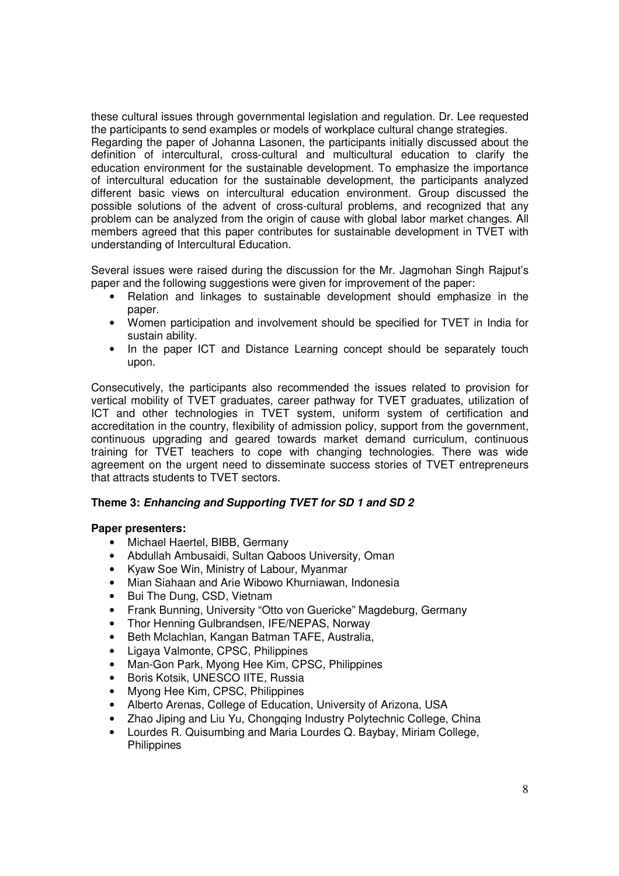these cultural issues through governmental legislation and regulation. Dr. Lee requested the participants to send examples or models of workplace cultural change strategies. Regarding the paper of Johanna Lasonen, the participants initially discussed about the definition of intercultural, cross-cultural and multicultural education to clarify the education environment for the sustainable development. To emphasize the importance of intercultural education for the sustainable development, the participants analyzed different basic views on intercultural education environment. Group discussed the possible solutions of the advent of cross-cultural problems, and recognized that any problem can be analyzed from the origin of cause with global labor market changes. All members agreed that this paper contributes for sustainable development in TVET with understanding of Intercultural Education.

Several issues were raised during the discussion for the Mr. Jagmohan Singh Rajput's paper and the following suggestions were given for improvement of the paper:

- Relation and linkages to sustainable development should emphasize in the paper.
- Women participation and involvement should be specified for TVET in India for sustain ability.
- In the paper ICT and Distance Learning concept should be separately touch upon.

Consecutively, the participants also recommended the issues related to provision for vertical mobility of TVET graduates, career pathway for TVET graduates, utilization of ICT and other technologies in TVET system, uniform system of certification and accreditation in the country, flexibility of admission policy, support from the government, continuous upgrading and geared towards market demand curriculum, continuous training for TVET teachers to cope with changing technologies. There was wide agreement on the urgent need to disseminate success stories of TVET entrepreneurs that attracts students to TVET sectors.

### **Theme 3: Enhancing and Supporting TVET for SD 1 and SD 2**

### **Paper presenters:**

- Michael Haertel, BIBB, Germany
- Abdullah Ambusaidi, Sultan Qaboos University, Oman
- Kyaw Soe Win, Ministry of Labour, Myanmar
- Mian Siahaan and Arie Wibowo Khurniawan, Indonesia
- Bui The Dung, CSD, Vietnam
- Frank Bunning, University "Otto von Guericke" Magdeburg, Germany
- Thor Henning Gulbrandsen, IFE/NEPAS, Norway
- Beth Mclachlan, Kangan Batman TAFE, Australia,
- Ligaya Valmonte, CPSC, Philippines
- Man-Gon Park, Myong Hee Kim, CPSC, Philippines
- Boris Kotsik, UNESCO IITE, Russia
- Myong Hee Kim, CPSC, Philippines
- Alberto Arenas, College of Education, University of Arizona, USA
- Zhao Jiping and Liu Yu, Chongqing Industry Polytechnic College, China
- Lourdes R. Quisumbing and Maria Lourdes Q. Baybay, Miriam College, **Philippines**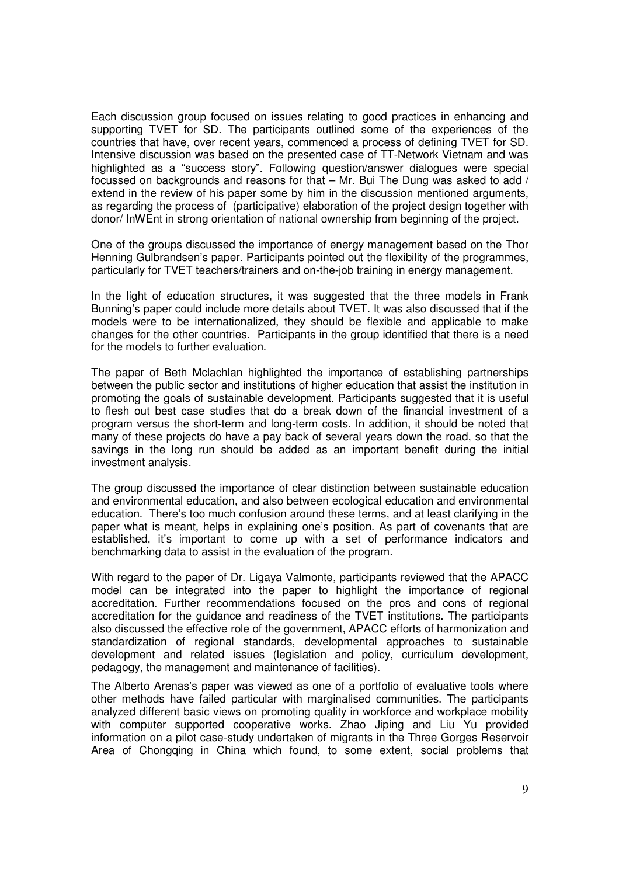Each discussion group focused on issues relating to good practices in enhancing and supporting TVET for SD. The participants outlined some of the experiences of the countries that have, over recent years, commenced a process of defining TVET for SD. Intensive discussion was based on the presented case of TT-Network Vietnam and was highlighted as a "success story". Following question/answer dialogues were special focussed on backgrounds and reasons for that – Mr. Bui The Dung was asked to add / extend in the review of his paper some by him in the discussion mentioned arguments, as regarding the process of (participative) elaboration of the project design together with donor/ InWEnt in strong orientation of national ownership from beginning of the project.

One of the groups discussed the importance of energy management based on the Thor Henning Gulbrandsen's paper. Participants pointed out the flexibility of the programmes, particularly for TVET teachers/trainers and on-the-job training in energy management.

In the light of education structures, it was suggested that the three models in Frank Bunning's paper could include more details about TVET. It was also discussed that if the models were to be internationalized, they should be flexible and applicable to make changes for the other countries. Participants in the group identified that there is a need for the models to further evaluation.

The paper of Beth Mclachlan highlighted the importance of establishing partnerships between the public sector and institutions of higher education that assist the institution in promoting the goals of sustainable development. Participants suggested that it is useful to flesh out best case studies that do a break down of the financial investment of a program versus the short-term and long-term costs. In addition, it should be noted that many of these projects do have a pay back of several years down the road, so that the savings in the long run should be added as an important benefit during the initial investment analysis.

The group discussed the importance of clear distinction between sustainable education and environmental education, and also between ecological education and environmental education. There's too much confusion around these terms, and at least clarifying in the paper what is meant, helps in explaining one's position. As part of covenants that are established, it's important to come up with a set of performance indicators and benchmarking data to assist in the evaluation of the program.

With regard to the paper of Dr. Ligaya Valmonte, participants reviewed that the APACC model can be integrated into the paper to highlight the importance of regional accreditation. Further recommendations focused on the pros and cons of regional accreditation for the guidance and readiness of the TVET institutions. The participants also discussed the effective role of the government, APACC efforts of harmonization and standardization of regional standards, developmental approaches to sustainable development and related issues (legislation and policy, curriculum development, pedagogy, the management and maintenance of facilities).

The Alberto Arenas's paper was viewed as one of a portfolio of evaluative tools where other methods have failed particular with marginalised communities. The participants analyzed different basic views on promoting quality in workforce and workplace mobility with computer supported cooperative works. Zhao Jiping and Liu Yu provided information on a pilot case-study undertaken of migrants in the Three Gorges Reservoir Area of Chongqing in China which found, to some extent, social problems that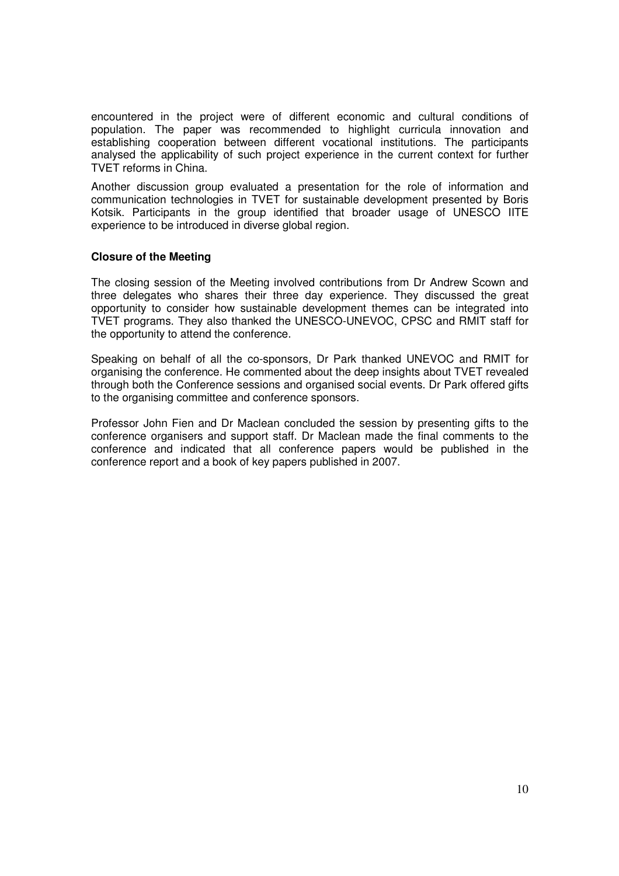encountered in the project were of different economic and cultural conditions of population. The paper was recommended to highlight curricula innovation and establishing cooperation between different vocational institutions. The participants analysed the applicability of such project experience in the current context for further TVET reforms in China.

Another discussion group evaluated a presentation for the role of information and communication technologies in TVET for sustainable development presented by Boris Kotsik. Participants in the group identified that broader usage of UNESCO IITE experience to be introduced in diverse global region.

### **Closure of the Meeting**

The closing session of the Meeting involved contributions from Dr Andrew Scown and three delegates who shares their three day experience. They discussed the great opportunity to consider how sustainable development themes can be integrated into TVET programs. They also thanked the UNESCO-UNEVOC, CPSC and RMIT staff for the opportunity to attend the conference.

Speaking on behalf of all the co-sponsors, Dr Park thanked UNEVOC and RMIT for organising the conference. He commented about the deep insights about TVET revealed through both the Conference sessions and organised social events. Dr Park offered gifts to the organising committee and conference sponsors.

Professor John Fien and Dr Maclean concluded the session by presenting gifts to the conference organisers and support staff. Dr Maclean made the final comments to the conference and indicated that all conference papers would be published in the conference report and a book of key papers published in 2007.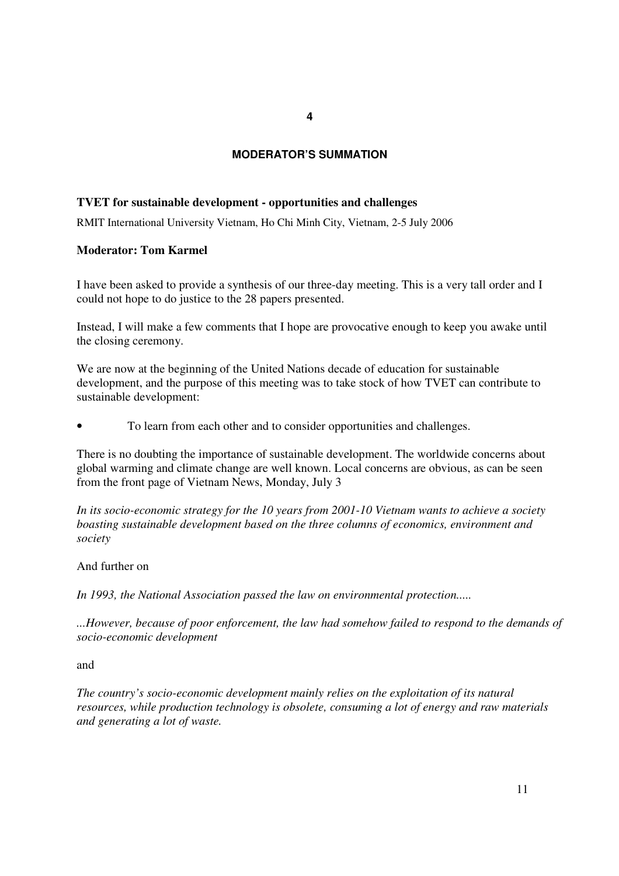### **MODERATOR'S SUMMATION**

#### **TVET for sustainable development - opportunities and challenges**

RMIT International University Vietnam, Ho Chi Minh City, Vietnam, 2-5 July 2006

#### **Moderator: Tom Karmel**

I have been asked to provide a synthesis of our three-day meeting. This is a very tall order and I could not hope to do justice to the 28 papers presented.

Instead, I will make a few comments that I hope are provocative enough to keep you awake until the closing ceremony.

We are now at the beginning of the United Nations decade of education for sustainable development, and the purpose of this meeting was to take stock of how TVET can contribute to sustainable development:

• To learn from each other and to consider opportunities and challenges.

There is no doubting the importance of sustainable development. The worldwide concerns about global warming and climate change are well known. Local concerns are obvious, as can be seen from the front page of Vietnam News, Monday, July 3

*In its socio-economic strategy for the 10 years from 2001-10 Vietnam wants to achieve a society boasting sustainable development based on the three columns of economics, environment and society* 

#### And further on

*In 1993, the National Association passed the law on environmental protection.....* 

*...However, because of poor enforcement, the law had somehow failed to respond to the demands of socio-economic development* 

### and

*The country's socio-economic development mainly relies on the exploitation of its natural resources, while production technology is obsolete, consuming a lot of energy and raw materials and generating a lot of waste.*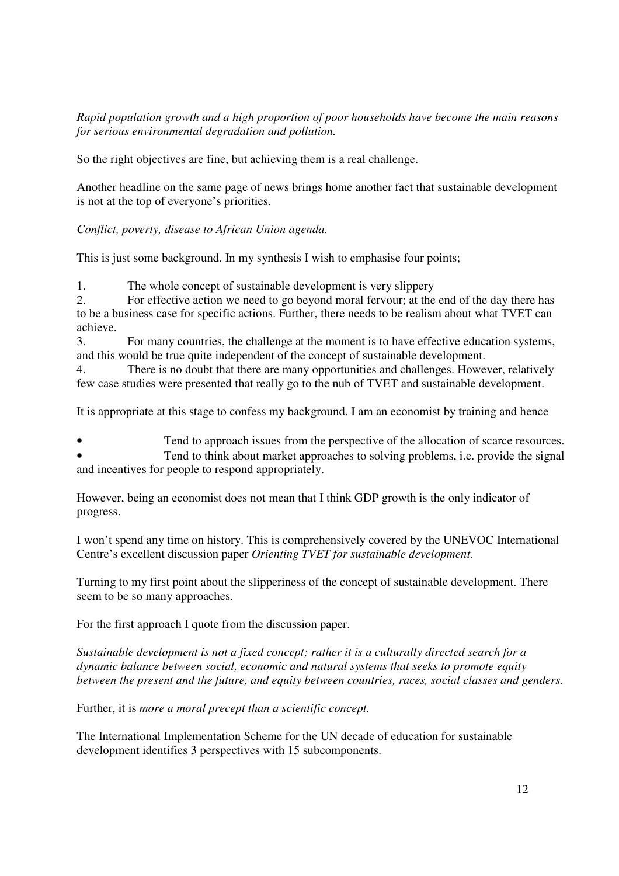*Rapid population growth and a high proportion of poor households have become the main reasons for serious environmental degradation and pollution.* 

So the right objectives are fine, but achieving them is a real challenge.

Another headline on the same page of news brings home another fact that sustainable development is not at the top of everyone's priorities.

*Conflict, poverty, disease to African Union agenda.* 

This is just some background. In my synthesis I wish to emphasise four points;

1. The whole concept of sustainable development is very slippery

2. For effective action we need to go beyond moral fervour; at the end of the day there has to be a business case for specific actions. Further, there needs to be realism about what TVET can achieve.

3. For many countries, the challenge at the moment is to have effective education systems, and this would be true quite independent of the concept of sustainable development.

4. There is no doubt that there are many opportunities and challenges. However, relatively few case studies were presented that really go to the nub of TVET and sustainable development.

It is appropriate at this stage to confess my background. I am an economist by training and hence

Tend to approach issues from the perspective of the allocation of scarce resources. • Tend to think about market approaches to solving problems, i.e. provide the signal and incentives for people to respond appropriately.

However, being an economist does not mean that I think GDP growth is the only indicator of progress.

I won't spend any time on history. This is comprehensively covered by the UNEVOC International Centre's excellent discussion paper *Orienting TVET for sustainable development.* 

Turning to my first point about the slipperiness of the concept of sustainable development. There seem to be so many approaches.

For the first approach I quote from the discussion paper.

*Sustainable development is not a fixed concept; rather it is a culturally directed search for a dynamic balance between social, economic and natural systems that seeks to promote equity between the present and the future, and equity between countries, races, social classes and genders.* 

Further, it is *more a moral precept than a scientific concept.* 

The International Implementation Scheme for the UN decade of education for sustainable development identifies 3 perspectives with 15 subcomponents.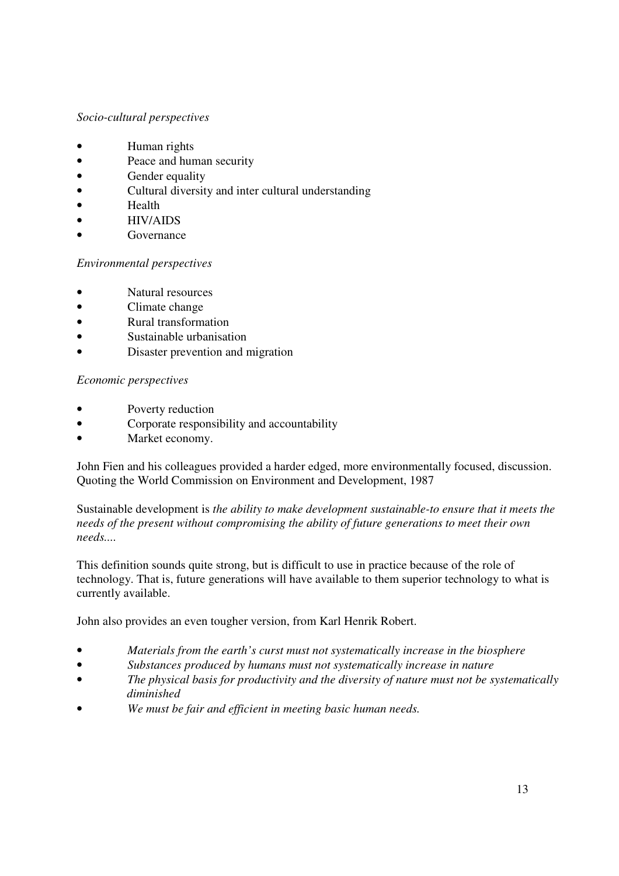### *Socio-cultural perspectives*

- Human rights
- Peace and human security
- Gender equality
- Cultural diversity and inter cultural understanding
- Health
- HIV/AIDS
- **Governance**

### *Environmental perspectives*

- Natural resources
- Climate change
- Rural transformation
- Sustainable urbanisation
- Disaster prevention and migration

### *Economic perspectives*

- Poverty reduction
- Corporate responsibility and accountability
- Market economy.

John Fien and his colleagues provided a harder edged, more environmentally focused, discussion. Quoting the World Commission on Environment and Development, 1987

Sustainable development is *the ability to make development sustainable-to ensure that it meets the needs of the present without compromising the ability of future generations to meet their own needs....*

This definition sounds quite strong, but is difficult to use in practice because of the role of technology. That is, future generations will have available to them superior technology to what is currently available.

John also provides an even tougher version, from Karl Henrik Robert.

- *Materials from the earth's curst must not systematically increase in the biosphere*
- *Substances produced by humans must not systematically increase in nature*
- *The physical basis for productivity and the diversity of nature must not be systematically diminished*
- *We must be fair and efficient in meeting basic human needs.*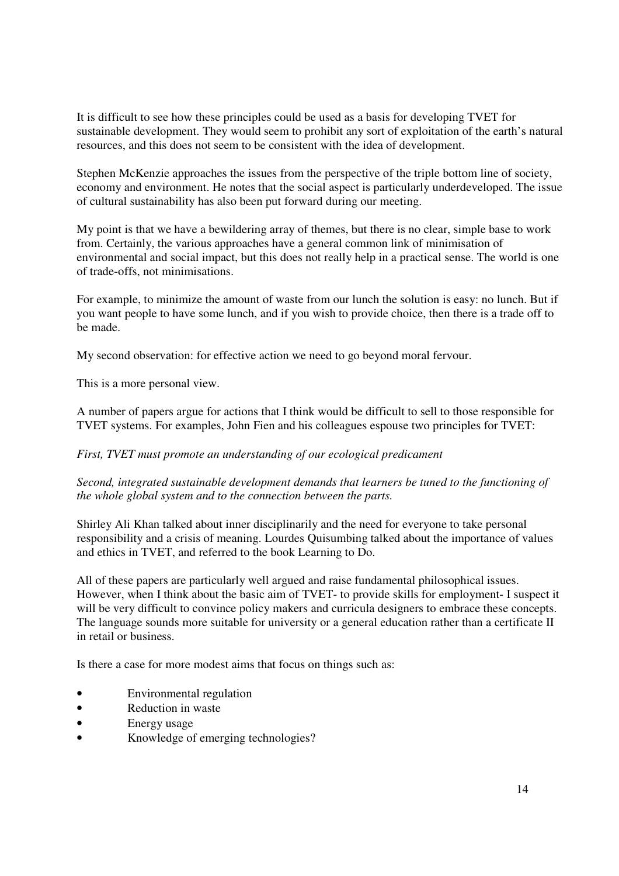It is difficult to see how these principles could be used as a basis for developing TVET for sustainable development. They would seem to prohibit any sort of exploitation of the earth's natural resources, and this does not seem to be consistent with the idea of development.

Stephen McKenzie approaches the issues from the perspective of the triple bottom line of society, economy and environment. He notes that the social aspect is particularly underdeveloped. The issue of cultural sustainability has also been put forward during our meeting.

My point is that we have a bewildering array of themes, but there is no clear, simple base to work from. Certainly, the various approaches have a general common link of minimisation of environmental and social impact, but this does not really help in a practical sense. The world is one of trade-offs, not minimisations.

For example, to minimize the amount of waste from our lunch the solution is easy: no lunch. But if you want people to have some lunch, and if you wish to provide choice, then there is a trade off to be made.

My second observation: for effective action we need to go beyond moral fervour.

This is a more personal view.

A number of papers argue for actions that I think would be difficult to sell to those responsible for TVET systems. For examples, John Fien and his colleagues espouse two principles for TVET:

*First, TVET must promote an understanding of our ecological predicament* 

*Second, integrated sustainable development demands that learners be tuned to the functioning of the whole global system and to the connection between the parts.* 

Shirley Ali Khan talked about inner disciplinarily and the need for everyone to take personal responsibility and a crisis of meaning. Lourdes Quisumbing talked about the importance of values and ethics in TVET, and referred to the book Learning to Do.

All of these papers are particularly well argued and raise fundamental philosophical issues. However, when I think about the basic aim of TVET- to provide skills for employment- I suspect it will be very difficult to convince policy makers and curricula designers to embrace these concepts. The language sounds more suitable for university or a general education rather than a certificate II in retail or business.

Is there a case for more modest aims that focus on things such as:

- Environmental regulation
- Reduction in waste
- Energy usage
- Knowledge of emerging technologies?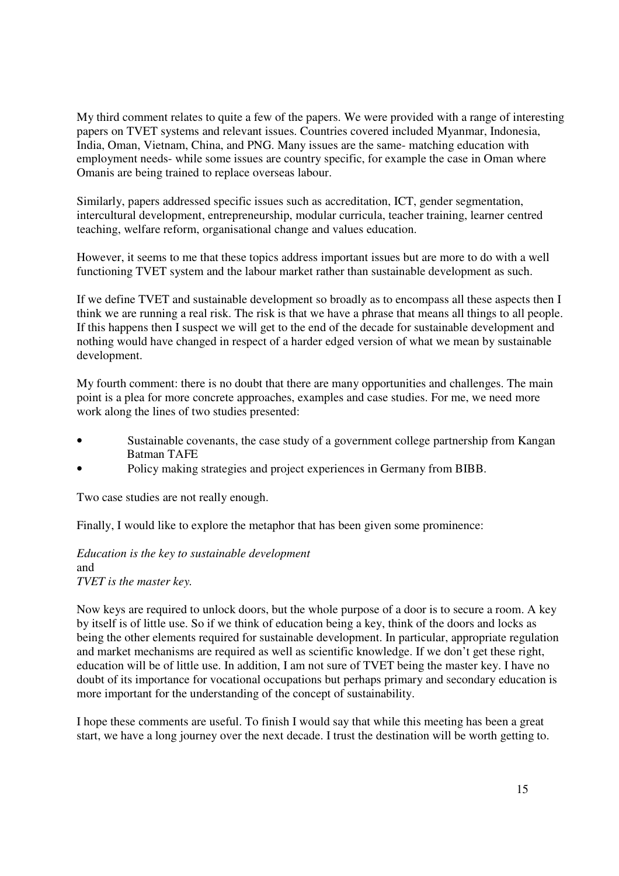My third comment relates to quite a few of the papers. We were provided with a range of interesting papers on TVET systems and relevant issues. Countries covered included Myanmar, Indonesia, India, Oman, Vietnam, China, and PNG. Many issues are the same- matching education with employment needs- while some issues are country specific, for example the case in Oman where Omanis are being trained to replace overseas labour.

Similarly, papers addressed specific issues such as accreditation, ICT, gender segmentation, intercultural development, entrepreneurship, modular curricula, teacher training, learner centred teaching, welfare reform, organisational change and values education.

However, it seems to me that these topics address important issues but are more to do with a well functioning TVET system and the labour market rather than sustainable development as such.

If we define TVET and sustainable development so broadly as to encompass all these aspects then I think we are running a real risk. The risk is that we have a phrase that means all things to all people. If this happens then I suspect we will get to the end of the decade for sustainable development and nothing would have changed in respect of a harder edged version of what we mean by sustainable development.

My fourth comment: there is no doubt that there are many opportunities and challenges. The main point is a plea for more concrete approaches, examples and case studies. For me, we need more work along the lines of two studies presented:

- Sustainable covenants, the case study of a government college partnership from Kangan Batman TAFE
- Policy making strategies and project experiences in Germany from BIBB.

Two case studies are not really enough.

Finally, I would like to explore the metaphor that has been given some prominence:

*Education is the key to sustainable development*  and *TVET is the master key.* 

Now keys are required to unlock doors, but the whole purpose of a door is to secure a room. A key by itself is of little use. So if we think of education being a key, think of the doors and locks as being the other elements required for sustainable development. In particular, appropriate regulation and market mechanisms are required as well as scientific knowledge. If we don't get these right, education will be of little use. In addition, I am not sure of TVET being the master key. I have no doubt of its importance for vocational occupations but perhaps primary and secondary education is more important for the understanding of the concept of sustainability.

I hope these comments are useful. To finish I would say that while this meeting has been a great start, we have a long journey over the next decade. I trust the destination will be worth getting to.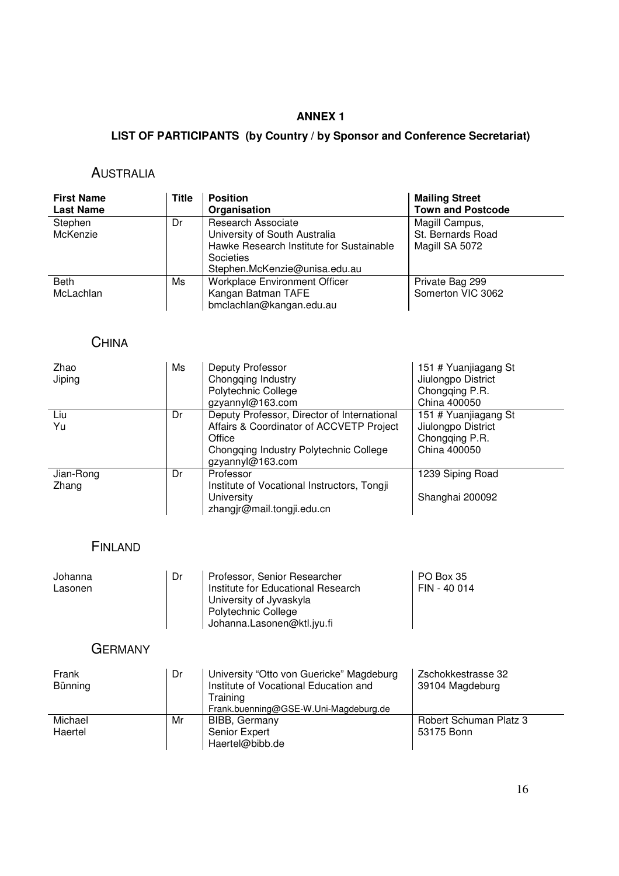### **ANNEX 1**

### **LIST OF PARTICIPANTS (by Country / by Sponsor and Conference Secretariat)**

### AUSTRALIA

| <b>First Name</b><br><b>Last Name</b> | <b>Title</b> | <b>Position</b><br>Organisation                                                                                                                      | <b>Mailing Street</b><br><b>Town and Postcode</b>     |
|---------------------------------------|--------------|------------------------------------------------------------------------------------------------------------------------------------------------------|-------------------------------------------------------|
| Stephen<br>McKenzie                   | Dr           | <b>Research Associate</b><br>University of South Australia<br>Hawke Research Institute for Sustainable<br>Societies<br>Stephen.McKenzie@unisa.edu.au | Magill Campus,<br>St. Bernards Road<br>Magill SA 5072 |
| <b>Beth</b><br>McLachlan              | Ms           | <b>Workplace Environment Officer</b><br>Kangan Batman TAFE<br>bmclachlan@kangan.edu.au                                                               | Private Bag 299<br>Somerton VIC 3062                  |

# **CHINA**

| Zhao<br>Jiping     | Ms | Deputy Professor<br>Chongqing Industry<br>Polytechnic College<br>gzyannyl@163.com                                                                               | 151 # Yuanjiagang St<br>Jiulongpo District<br>Chongqing P.R.<br>China 400050 |
|--------------------|----|-----------------------------------------------------------------------------------------------------------------------------------------------------------------|------------------------------------------------------------------------------|
| Liu<br>Yu          | Dr | Deputy Professor, Director of International<br>Affairs & Coordinator of ACCVETP Project<br>Office<br>Chongqing Industry Polytechnic College<br>gzyannyl@163.com | 151 # Yuanjiagang St<br>Jiulongpo District<br>Chongqing P.R.<br>China 400050 |
| Jian-Rong<br>Zhang | Dr | Professor<br>Institute of Vocational Instructors, Tongji<br>University<br>zhangjr@mail.tongji.edu.cn                                                            | 1239 Siping Road<br>Shanghai 200092                                          |

### FINLAND

| Johanna | Dr | Professor, Senior Researcher       | PO Box 35    |
|---------|----|------------------------------------|--------------|
| Lasonen |    | Institute for Educational Research | FIN - 40 014 |
|         |    | University of Jyvaskyla            |              |
|         |    | Polytechnic College                |              |
|         |    | Johanna.Lasonen@ktl.jyu.fi         |              |

### **GERMANY**

| Frank<br>Bünning   | Dr | University "Otto von Guericke" Magdeburg<br>Institute of Vocational Education and<br>Training<br>Frank.buenning@GSE-W.Uni-Magdeburg.de | Zschokkestrasse 32<br>39104 Magdeburg |
|--------------------|----|----------------------------------------------------------------------------------------------------------------------------------------|---------------------------------------|
| Michael<br>Haertel | Mr | BIBB, Germany<br>Senior Expert<br>Haertel@bibb.de                                                                                      | Robert Schuman Platz 3<br>53175 Bonn  |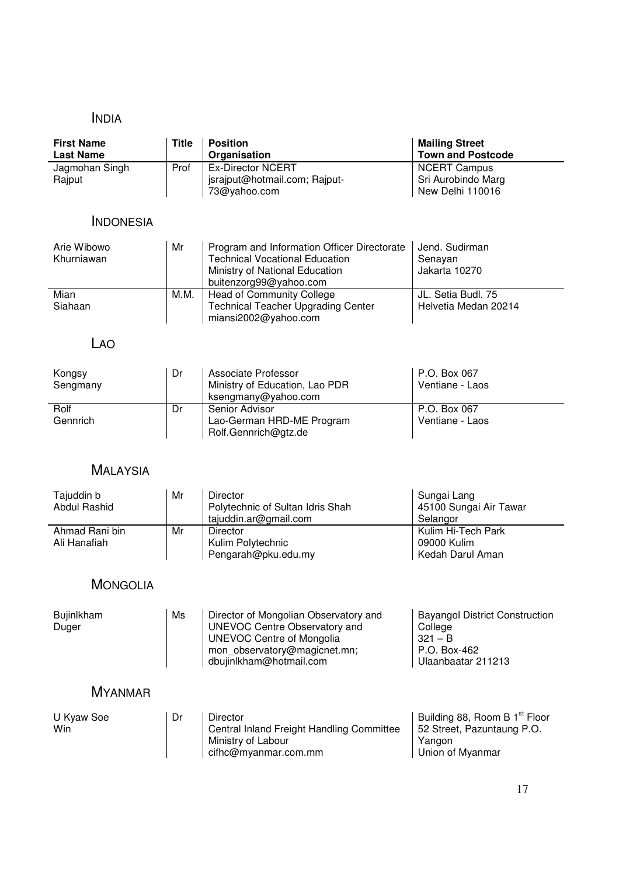# INDIA

| <b>First Name</b><br><b>Last Name</b> | <b>Title</b> | <b>Position</b><br>Organisation                                                                                                                                              | <b>Mailing Street</b><br><b>Town and Postcode</b>                                                     |
|---------------------------------------|--------------|------------------------------------------------------------------------------------------------------------------------------------------------------------------------------|-------------------------------------------------------------------------------------------------------|
| Jagmohan Singh<br>Rajput              | Prof         | <b>Ex-Director NCERT</b><br>jsrajput@hotmail.com; Rajput-<br>73@yahoo.com                                                                                                    | <b>NCERT Campus</b><br>Sri Aurobindo Marg<br>New Delhi 110016                                         |
| <b>INDONESIA</b>                      |              |                                                                                                                                                                              |                                                                                                       |
| Arie Wibowo<br>Khurniawan             | Mr           | Program and Information Officer Directorate<br><b>Technical Vocational Education</b><br>Ministry of National Education<br>buitenzorg99@yahoo.com                             | Jend. Sudirman<br>Senayan<br>Jakarta 10270                                                            |
| Mian<br>Siahaan                       | M.M.         | <b>Head of Community College</b><br><b>Technical Teacher Upgrading Center</b><br>miansi2002@yahoo.com                                                                        | JL. Setia Budl. 75<br>Helvetia Medan 20214                                                            |
| LAO                                   |              |                                                                                                                                                                              |                                                                                                       |
| Kongsy<br>Sengmany                    | Dr           | Associate Professor<br>Ministry of Education, Lao PDR<br>ksengmany@yahoo.com                                                                                                 | P.O. Box 067<br>Ventiane - Laos                                                                       |
| Rolf<br>Gennrich                      | Dr           | Senior Advisor<br>Lao-German HRD-ME Program<br>Rolf.Gennrich@gtz.de                                                                                                          | P.O. Box 067<br>Ventiane - Laos                                                                       |
| <b>MALAYSIA</b>                       |              |                                                                                                                                                                              |                                                                                                       |
| Tajuddin b<br><b>Abdul Rashid</b>     | Mr           | <b>Director</b><br>Polytechnic of Sultan Idris Shah<br>tajuddin.ar@gmail.com                                                                                                 | Sungai Lang<br>45100 Sungai Air Tawar<br>Selangor                                                     |
| Ahmad Rani bin<br>Ali Hanafiah        | Mr           | Director<br>Kulim Polytechnic<br>Pengarah@pku.edu.my                                                                                                                         | Kulim Hi-Tech Park<br>09000 Kulim<br>Kedah Darul Aman                                                 |
| <b>MONGOLIA</b>                       |              |                                                                                                                                                                              |                                                                                                       |
| Bujinlkham<br>Duger                   | Ms           | Director of Mongolian Observatory and<br><b>UNEVOC Centre Observatory and</b><br><b>UNEVOC Centre of Mongolia</b><br>mon_observatory@magicnet.mn;<br>dbujinlkham@hotmail.com | <b>Bayangol District Construction</b><br>College<br>$321 - B$<br>P.O. Box-462<br>Ulaanbaatar 211213   |
| <b>MYANMAR</b>                        |              |                                                                                                                                                                              |                                                                                                       |
| U Kyaw Soe<br>Win                     | Dr           | <b>Director</b><br>Central Inland Freight Handling Committee<br>Ministry of Labour<br>cifhc@myanmar.com.mm                                                                   | Building 88, Room B 1 <sup>st</sup> Floor<br>52 Street, Pazuntaung P.O.<br>Yangon<br>Union of Myanmar |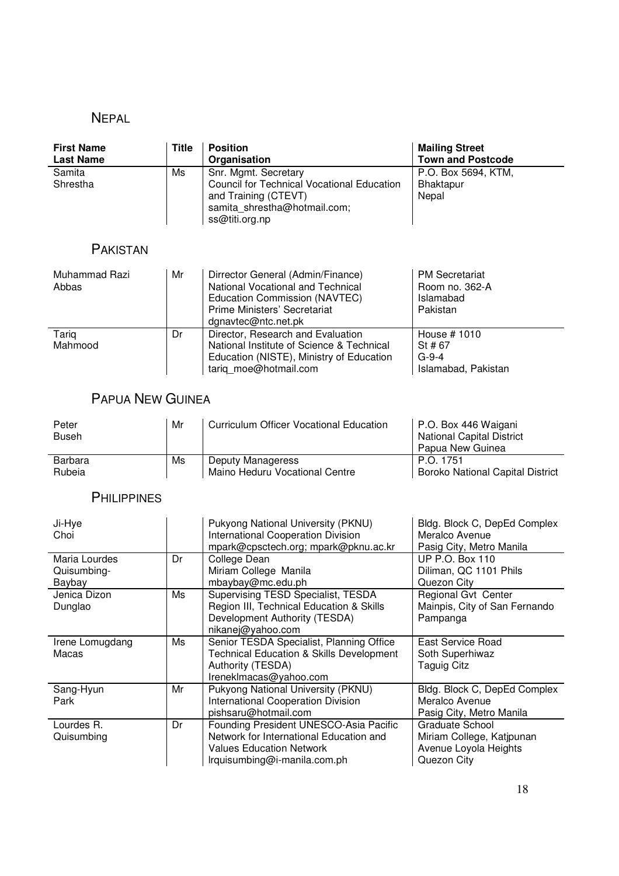### NEPAL

| <b>First Name</b><br><b>Last Name</b> | <b>Title</b> | <b>Position</b><br>Organisation                                                                                                                                | <b>Mailing Street</b><br><b>Town and Postcode</b>                |
|---------------------------------------|--------------|----------------------------------------------------------------------------------------------------------------------------------------------------------------|------------------------------------------------------------------|
| Samita<br>Shrestha                    | Ms           | Snr. Mgmt. Secretary<br>Council for Technical Vocational Education<br>and Training (CTEVT)<br>samita shrestha@hotmail.com;<br>ss@titi.org.np                   | P.O. Box 5694, KTM,<br>Bhaktapur<br>Nepal                        |
| <b>PAKISTAN</b>                       |              |                                                                                                                                                                |                                                                  |
| Muhammad Razi<br>Abbas                | Mr           | Dirrector General (Admin/Finance)<br>National Vocational and Technical<br>Education Commission (NAVTEC)<br>Prime Ministers' Secretariat<br>dgnavtec@ntc.net.pk | <b>PM Secretariat</b><br>Room no. 362-A<br>Islamabad<br>Pakistan |
| Tariq<br>Mahmood                      | Dr           | Director, Research and Evaluation<br>National Institute of Science & Technical<br>Education (NISTE), Ministry of Education<br>tariq moe@hotmail.com            | House # 1010<br>St # 67<br>G-9-4<br>Islamabad, Pakistan          |

# PAPUA NEW GUINEA

| Peter<br><b>Buseh</b> | Mr | Curriculum Officer Vocational Education | P.O. Box 446 Waigani<br><b>National Capital District</b><br>Papua New Guinea |
|-----------------------|----|-----------------------------------------|------------------------------------------------------------------------------|
| <b>Barbara</b>        | Ms | Deputy Manageress                       | P.O. 1751                                                                    |
| Rubeia                |    | Maino Heduru Vocational Centre          | <b>Boroko National Capital District</b>                                      |

### **PHILIPPINES**

| Ji-Hye<br>Choi               |    | Pukyong National University (PKNU)<br><b>International Cooperation Division</b><br>mpark@cpsctech.org; mpark@pknu.ac.kr                              | Bldg. Block C, DepEd Complex<br>Meralco Avenue<br>Pasig City, Metro Manila           |
|------------------------------|----|------------------------------------------------------------------------------------------------------------------------------------------------------|--------------------------------------------------------------------------------------|
| Maria Lourdes<br>Quisumbing- | Dr | College Dean<br>Miriam College Manila                                                                                                                | <b>UP P.O. Box 110</b><br>Diliman, QC 1101 Phils                                     |
| Baybay                       |    | mbaybay@mc.edu.ph                                                                                                                                    | Quezon City                                                                          |
| Jenica Dizon<br>Dunglao      | Ms | Supervising TESD Specialist, TESDA<br>Region III, Technical Education & Skills<br>Development Authority (TESDA)<br>nikanej@yahoo.com                 | Regional Gvt Center<br>Mainpis, City of San Fernando<br>Pampanga                     |
| Irene Lomugdang<br>Macas     | Ms | Senior TESDA Specialist, Planning Office<br><b>Technical Education &amp; Skills Development</b><br>Authority (TESDA)<br>IrenekImacas@yahoo.com       | East Service Road<br>Soth Superhiwaz<br><b>Taguig Citz</b>                           |
| Sang-Hyun<br>Park            | Mr | Pukyong National University (PKNU)<br><b>International Cooperation Division</b><br>pishsaru@hotmail.com                                              | Bldg. Block C, DepEd Complex<br>Meralco Avenue<br>Pasig City, Metro Manila           |
| Lourdes R.<br>Quisumbing     | Dr | Founding President UNESCO-Asia Pacific<br>Network for International Education and<br><b>Values Education Network</b><br>Irquisumbing@i-manila.com.ph | Graduate School<br>Miriam College, Katjpunan<br>Avenue Loyola Heights<br>Quezon City |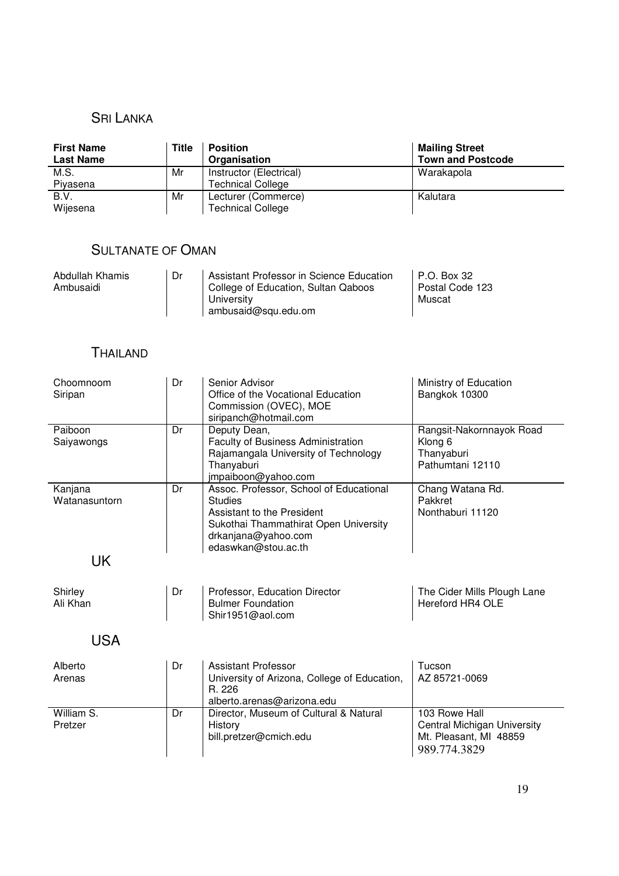### SRI LANKA

| <b>First Name</b><br><b>Last Name</b> | <b>Title</b> | <b>Position</b><br>Organisation                     | <b>Mailing Street</b><br><b>Town and Postcode</b> |
|---------------------------------------|--------------|-----------------------------------------------------|---------------------------------------------------|
| M.S.<br>Piyasena                      | Mr           | Instructor (Electrical)<br><b>Technical College</b> | Warakapola                                        |
| B.V.<br>Wijesena                      | Mr           | Lecturer (Commerce)<br><b>Technical College</b>     | Kalutara                                          |

# SULTANATE OF OMAN

| Abdullah Khamis<br>Ambusaidi | Dr | Assistant Professor in Science Education<br>  College of Education, Sultan Qaboos<br>Universitv<br>ambusaid@squ.edu.om | I P.O. Box 32<br>Postal Code 123<br>Muscat |
|------------------------------|----|------------------------------------------------------------------------------------------------------------------------|--------------------------------------------|
|------------------------------|----|------------------------------------------------------------------------------------------------------------------------|--------------------------------------------|

# THAILAND

| Choomnoom<br>Siripan     | Dr | Senior Advisor<br>Office of the Vocational Education<br>Commission (OVEC), MOE<br>siripanch@hotmail.com                                                                        | Ministry of Education<br>Bangkok 10300                                                 |
|--------------------------|----|--------------------------------------------------------------------------------------------------------------------------------------------------------------------------------|----------------------------------------------------------------------------------------|
| Paiboon<br>Saiyawongs    | Dr | Deputy Dean,<br>Faculty of Business Administration<br>Rajamangala University of Technology<br>Thanyaburi<br>jmpaiboon@yahoo.com                                                | Rangsit-Nakornnayok Road<br>Klong 6<br>Thanyaburi<br>Pathumtani 12110                  |
| Kanjana<br>Watanasuntorn | Dr | Assoc. Professor, School of Educational<br><b>Studies</b><br>Assistant to the President<br>Sukothai Thammathirat Open University<br>drkanjana@yahoo.com<br>edaswkan@stou.ac.th | Chang Watana Rd.<br>Pakkret<br>Nonthaburi 11120                                        |
| <b>UK</b>                |    |                                                                                                                                                                                |                                                                                        |
| Shirley<br>Ali Khan      | Dr | Professor, Education Director<br><b>Bulmer Foundation</b><br>Shir1951@aol.com                                                                                                  | The Cider Mills Plough Lane<br><b>Hereford HR4 OLE</b>                                 |
| <b>USA</b>               |    |                                                                                                                                                                                |                                                                                        |
| Alberto<br>Arenas        | Dr | <b>Assistant Professor</b><br>University of Arizona, College of Education,<br>R. 226<br>alberto.arenas@arizona.edu                                                             | Tucson<br>AZ 85721-0069                                                                |
| William S.<br>Pretzer    | Dr | Director, Museum of Cultural & Natural<br>History<br>bill.pretzer@cmich.edu                                                                                                    | 103 Rowe Hall<br>Central Michigan University<br>Mt. Pleasant, MI 48859<br>989.774.3829 |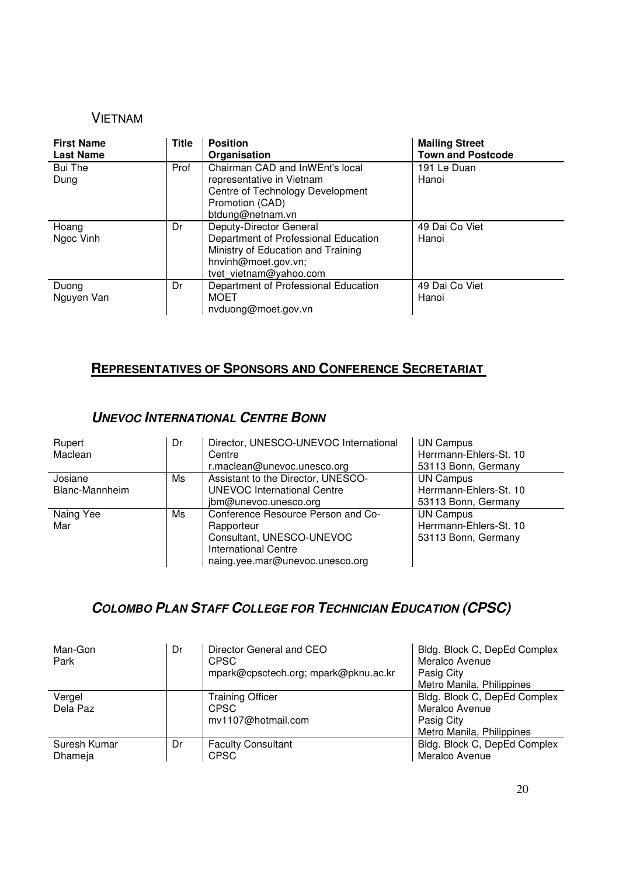### VIETNAM

| <b>First Name</b><br><b>Last Name</b> | <b>Title</b> | <b>Position</b><br>Organisation                                                                                                                        | <b>Mailing Street</b><br><b>Town and Postcode</b> |
|---------------------------------------|--------------|--------------------------------------------------------------------------------------------------------------------------------------------------------|---------------------------------------------------|
| Bui The<br>Dung                       | Prof         | Chairman CAD and InWEnt's local<br>representative in Vietnam<br>Centre of Technology Development<br>Promotion (CAD)<br>btdung@netnam.vn                | 191 Le Duan<br>Hanoi                              |
| Hoang<br>Ngoc Vinh                    | Dr           | Deputy-Director General<br>Department of Professional Education<br>Ministry of Education and Training<br>hnvinh@moet.gov.vn;<br>tvet vietnam@yahoo.com | 49 Dai Co Viet<br>Hanoi                           |
| Duong<br>Nguyen Van                   | Dr           | Department of Professional Education<br><b>MOET</b><br>nvduong@moet.gov.vn                                                                             | 49 Dai Co Viet<br>Hanoi                           |

## **REPRESENTATIVES OF SPONSORS AND CONFERENCE SECRETARIAT**

### **UNEVOC INTERNATIONAL CENTRE BONN**

| Rupert<br>Maclean         | Dr | Director, UNESCO-UNEVOC International<br>Centre<br>r.maclean@unevoc.unesco.org                                                           | <b>UN Campus</b><br>Herrmann-Ehlers-St. 10<br>53113 Bonn, Germany |
|---------------------------|----|------------------------------------------------------------------------------------------------------------------------------------------|-------------------------------------------------------------------|
| Josiane<br>Blanc-Mannheim | Ms | Assistant to the Director, UNESCO-<br><b>UNEVOC International Centre</b><br>jbm@unevoc.unesco.org                                        | <b>UN Campus</b><br>Herrmann-Ehlers-St. 10<br>53113 Bonn, Germany |
| Naing Yee<br>Mar          | Ms | Conference Resource Person and Co-<br>Rapporteur<br>Consultant, UNESCO-UNEVOC<br>International Centre<br>naing.yee.mar@unevoc.unesco.org | <b>UN Campus</b><br>Herrmann-Ehlers-St. 10<br>53113 Bonn, Germany |

# **COLOMBO PLAN STAFF COLLEGE FOR TECHNICIAN EDUCATION (CPSC)**

| Man-Gon<br>Park         | Dr | Director General and CEO<br><b>CPSC</b><br>mpark@cpsctech.org; mpark@pknu.ac.kr | Bldg. Block C, DepEd Complex<br>Meralco Avenue<br>Pasig City<br>Metro Manila, Philippines |
|-------------------------|----|---------------------------------------------------------------------------------|-------------------------------------------------------------------------------------------|
| Vergel<br>Dela Paz      |    | <b>Training Officer</b><br><b>CPSC</b><br>mv1107@hotmail.com                    | Bldg. Block C, DepEd Complex<br>Meralco Avenue<br>Pasig City<br>Metro Manila, Philippines |
| Suresh Kumar<br>Dhameja | Dr | <b>Faculty Consultant</b><br><b>CPSC</b>                                        | Bldg. Block C, DepEd Complex<br>Meralco Avenue                                            |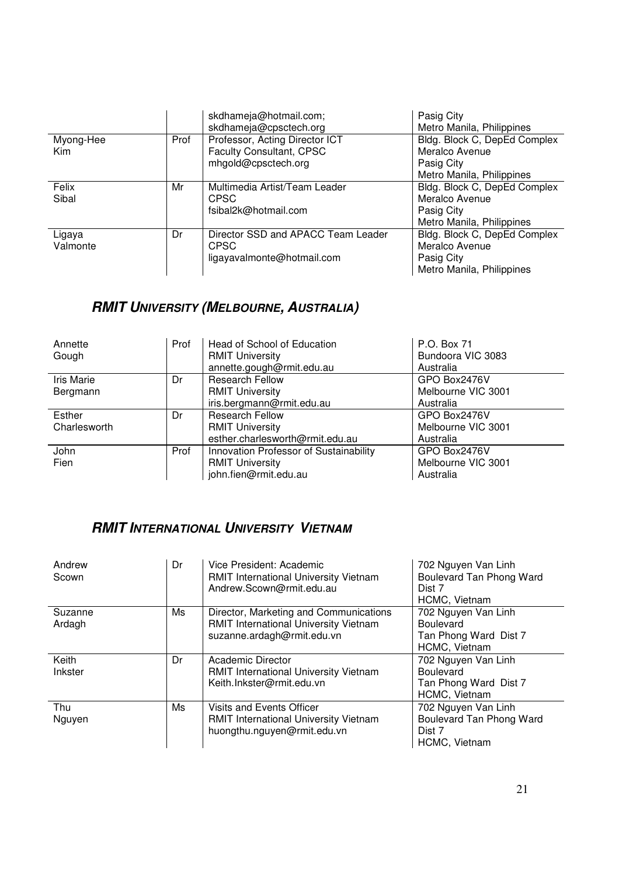|            |      | skdhameja@hotmail.com;             | Pasig City                   |
|------------|------|------------------------------------|------------------------------|
|            |      | skdhameja@cpsctech.org             | Metro Manila, Philippines    |
| Myong-Hee  | Prof | Professor, Acting Director ICT     | Bldg. Block C, DepEd Complex |
| <b>Kim</b> |      | Faculty Consultant, CPSC           | Meralco Avenue               |
|            |      | mhgold@cpsctech.org                | Pasig City                   |
|            |      |                                    | Metro Manila, Philippines    |
| Felix      | Mr   | Multimedia Artist/Team Leader      | Bldg. Block C, DepEd Complex |
| Sibal      |      | <b>CPSC</b>                        | Meralco Avenue               |
|            |      | fsibal2k@hotmail.com               | Pasig City                   |
|            |      |                                    | Metro Manila, Philippines    |
| Ligaya     | Dr   | Director SSD and APACC Team Leader | Bldg. Block C, DepEd Complex |
| Valmonte   |      | <b>CPSC</b>                        | Meralco Avenue               |
|            |      | ligayavalmonte@hotmail.com         | Pasig City                   |
|            |      |                                    | Metro Manila, Philippines    |

# **RMIT UNIVERSITY (MELBOURNE, AUSTRALIA)**

| Annette           | Prof | Head of School of Education            | P.O. Box 71        |
|-------------------|------|----------------------------------------|--------------------|
| Gough             |      | <b>RMIT University</b>                 | Bundoora VIC 3083  |
|                   |      | annette.gough@rmit.edu.au              | Australia          |
| <b>Iris Marie</b> | Dr   | <b>Research Fellow</b>                 | GPO Box2476V       |
| Bergmann          |      | <b>RMIT University</b>                 | Melbourne VIC 3001 |
|                   |      | iris.bergmann@rmit.edu.au              | Australia          |
| Esther            | Dr   | <b>Research Fellow</b>                 | GPO Box2476V       |
| Charlesworth      |      | <b>RMIT University</b>                 | Melbourne VIC 3001 |
|                   |      | esther.charlesworth@rmit.edu.au        | Australia          |
| John              | Prof | Innovation Professor of Sustainability | GPO Box2476V       |
| Fien              |      | <b>RMIT University</b>                 | Melbourne VIC 3001 |
|                   |      | john.fien@rmit.edu.au                  | Australia          |

# **RMIT INTERNATIONAL UNIVERSITY VIETNAM**

| Andrew<br>Scown   | Dr | Vice President: Academic<br><b>RMIT International University Vietnam</b><br>Andrew.Scown@rmit.edu.au          | 702 Nguyen Van Linh<br>Boulevard Tan Phong Ward<br>Dist 7<br>HCMC, Vietnam        |
|-------------------|----|---------------------------------------------------------------------------------------------------------------|-----------------------------------------------------------------------------------|
| Suzanne<br>Ardagh | Ms | Director, Marketing and Communications<br>RMIT International University Vietnam<br>suzanne.ardagh@rmit.edu.vn | 702 Nguyen Van Linh<br><b>Boulevard</b><br>Tan Phong Ward Dist 7<br>HCMC, Vietnam |
| Keith<br>Inkster  | Dr | Academic Director<br><b>RMIT International University Vietnam</b><br>Keith.Inkster@rmit.edu.vn                | 702 Nguyen Van Linh<br><b>Boulevard</b><br>Tan Phong Ward Dist 7<br>HCMC, Vietnam |
| Thu<br>Nguyen     | Ms | Visits and Events Officer<br><b>RMIT International University Vietnam</b><br>huongthu.nguyen@rmit.edu.vn      | 702 Nguyen Van Linh<br>Boulevard Tan Phong Ward<br>Dist 7<br>HCMC, Vietnam        |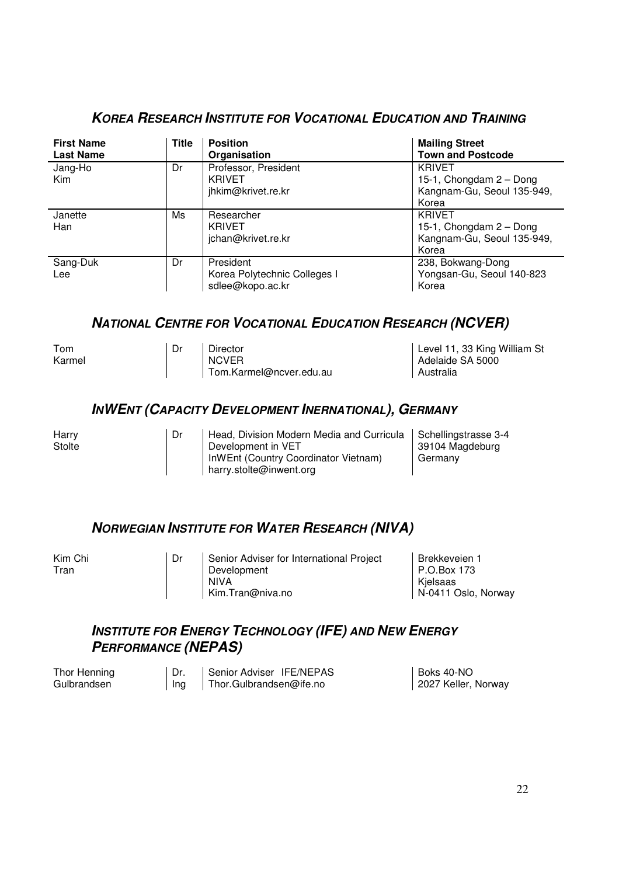| <b>First Name</b><br><b>Last Name</b> | <b>Title</b> | <b>Position</b><br>Organisation                               | <b>Mailing Street</b><br><b>Town and Postcode</b>                               |
|---------------------------------------|--------------|---------------------------------------------------------------|---------------------------------------------------------------------------------|
| Jang-Ho<br><b>Kim</b>                 | Dr           | Professor, President<br><b>KRIVET</b><br>jhkim@krivet.re.kr   | <b>KRIVET</b><br>15-1, Chongdam 2 - Dong<br>Kangnam-Gu, Seoul 135-949,<br>Korea |
| Janette<br>Han                        | Ms           | Researcher<br><b>KRIVET</b><br>jchan@krivet.re.kr             | <b>KRIVET</b><br>15-1, Chongdam 2 - Dong<br>Kangnam-Gu, Seoul 135-949,<br>Korea |
| Sang-Duk<br>Lee                       | Dr           | President<br>Korea Polytechnic Colleges I<br>sdlee@kopo.ac.kr | 238, Bokwang-Dong<br>Yongsan-Gu, Seoul 140-823<br>Korea                         |

### **KOREA RESEARCH INSTITUTE FOR VOCATIONAL EDUCATION AND TRAINING**

### **NATIONAL CENTRE FOR VOCATIONAL EDUCATION RESEARCH (NCVER)**

| Tom<br>Karmel | Director<br><b>NCVER</b><br>Tom.Karmel@ncver.edu.au | Level 11, 33 King William St<br>Adelaide SA 5000<br>Australia |
|---------------|-----------------------------------------------------|---------------------------------------------------------------|
|               |                                                     |                                                               |

### **INWENT (CAPACITY DEVELOPMENT INERNATIONAL), GERMANY**

| Harry<br>Stolte | Dr | Head, Division Modern Media and Curricula   Schellingstrasse 3-4<br>Development in VET | 39104 Magdeburg |
|-----------------|----|----------------------------------------------------------------------------------------|-----------------|
|                 |    | InWEnt (Country Coordinator Vietnam)<br>harry.stolte@inwent.org                        | Germany         |

### **NORWEGIAN INSTITUTE FOR WATER RESEARCH (NIVA)**

| Kim Chi<br>Tran | Dr | Senior Adviser for International Project<br>Development<br><b>NIVA</b> | Brekkeveien 1<br>l P.O.Box 173<br>Kjelsaas<br>N-0411 Oslo, Norway |
|-----------------|----|------------------------------------------------------------------------|-------------------------------------------------------------------|
|                 |    | Kim.Tran@niva.no                                                       |                                                                   |

### **INSTITUTE FOR ENERGY TECHNOLOGY (IFE) AND NEW ENERGY PERFORMANCE (NEPAS)**

| Thor Henning |     | Senior Adviser IFE/NEPAS | l Boks 40-NO        |
|--------------|-----|--------------------------|---------------------|
| Gulbrandsen  | Ing | Thor.Gulbrandsen@ife.no  | 2027 Keller, Norway |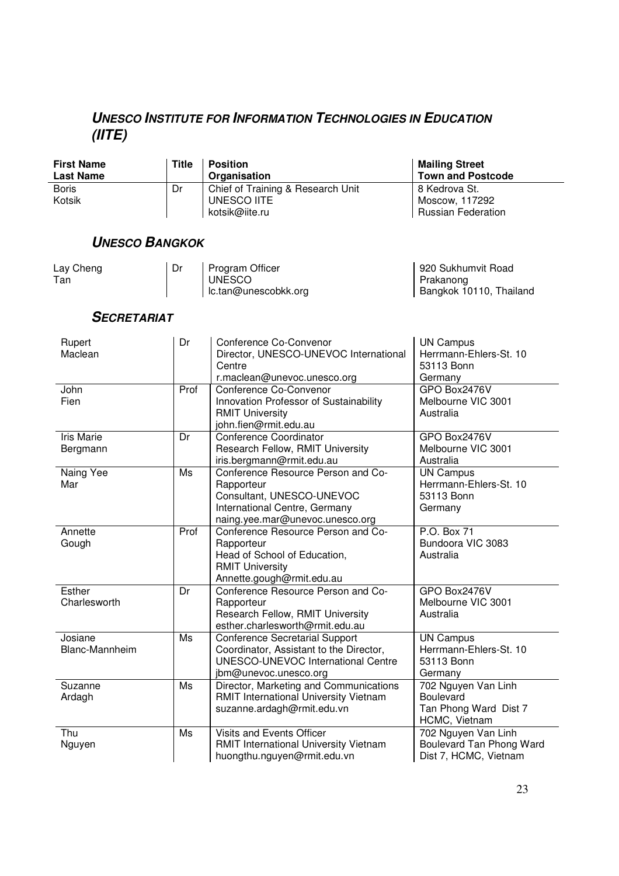# **UNESCO INSTITUTE FOR INFORMATION TECHNOLOGIES IN EDUCATION (IITE)**

| <b>First Name</b><br><b>Last Name</b> | Title | <b>Position</b><br>Organisation   | <b>Mailing Street</b><br><b>Town and Postcode</b> |
|---------------------------------------|-------|-----------------------------------|---------------------------------------------------|
| <b>Boris</b>                          | Dr    | Chief of Training & Research Unit | 8 Kedrova St.                                     |
| Kotsik                                |       | UNESCO IITE<br>kotsik@iite.ru     | Moscow, 117292<br><b>Russian Federation</b>       |

### **UNESCO BANGKOK**

| Lay Cheng<br>Tan | Dr | Program Officer<br><b>UNESCO</b><br>lc.tan@unescobkk.org | 920 Sukhumvit Road<br>Prakanong<br>Bangkok 10110, Thailand |
|------------------|----|----------------------------------------------------------|------------------------------------------------------------|
|------------------|----|----------------------------------------------------------|------------------------------------------------------------|

### **SECRETARIAT**

| Rupert<br>Maclean             | Dr   | Conference Co-Convenor<br>Director, UNESCO-UNEVOC International<br>Centre<br>r.maclean@unevoc.unesco.org                                               | <b>UN Campus</b><br>Herrmann-Ehlers-St. 10<br>53113 Bonn<br>Germany               |
|-------------------------------|------|--------------------------------------------------------------------------------------------------------------------------------------------------------|-----------------------------------------------------------------------------------|
| John<br>Fien                  | Prof | Conference Co-Convenor<br>Innovation Professor of Sustainability<br><b>RMIT University</b><br>john.fien@rmit.edu.au                                    | GPO Box2476V<br>Melbourne VIC 3001<br>Australia                                   |
| <b>Iris Marie</b><br>Bergmann | Dr   | Conference Coordinator<br>Research Fellow, RMIT University<br>iris.bergmann@rmit.edu.au                                                                | GPO Box2476V<br>Melbourne VIC 3001<br>Australia                                   |
| Naing Yee<br>Mar              | Ms   | Conference Resource Person and Co-<br>Rapporteur<br>Consultant, UNESCO-UNEVOC<br>International Centre, Germany<br>naing.yee.mar@unevoc.unesco.org      | <b>UN Campus</b><br>Herrmann-Ehlers-St. 10<br>53113 Bonn<br>Germany               |
| Annette<br>Gough              | Prof | Conference Resource Person and Co-<br>Rapporteur<br>Head of School of Education,<br><b>RMIT University</b><br>Annette.gough@rmit.edu.au                | P.O. Box 71<br>Bundoora VIC 3083<br>Australia                                     |
| Esther<br>Charlesworth        | Dr   | Conference Resource Person and Co-<br>Rapporteur<br>Research Fellow, RMIT University<br>esther.charlesworth@rmit.edu.au                                | GPO Box2476V<br>Melbourne VIC 3001<br>Australia                                   |
| Josiane<br>Blanc-Mannheim     | Ms   | <b>Conference Secretarial Support</b><br>Coordinator, Assistant to the Director,<br><b>UNESCO-UNEVOC International Centre</b><br>jbm@unevoc.unesco.org | <b>UN Campus</b><br>Herrmann-Ehlers-St. 10<br>53113 Bonn<br>Germany               |
| Suzanne<br>Ardagh             | Ms   | Director, Marketing and Communications<br>RMIT International University Vietnam<br>suzanne.ardagh@rmit.edu.vn                                          | 702 Nguyen Van Linh<br><b>Boulevard</b><br>Tan Phong Ward Dist 7<br>HCMC, Vietnam |
| Thu<br>Nguyen                 | Ms   | Visits and Events Officer<br>RMIT International University Vietnam<br>huongthu.nguyen@rmit.edu.vn                                                      | 702 Nguyen Van Linh<br>Boulevard Tan Phong Ward<br>Dist 7, HCMC, Vietnam          |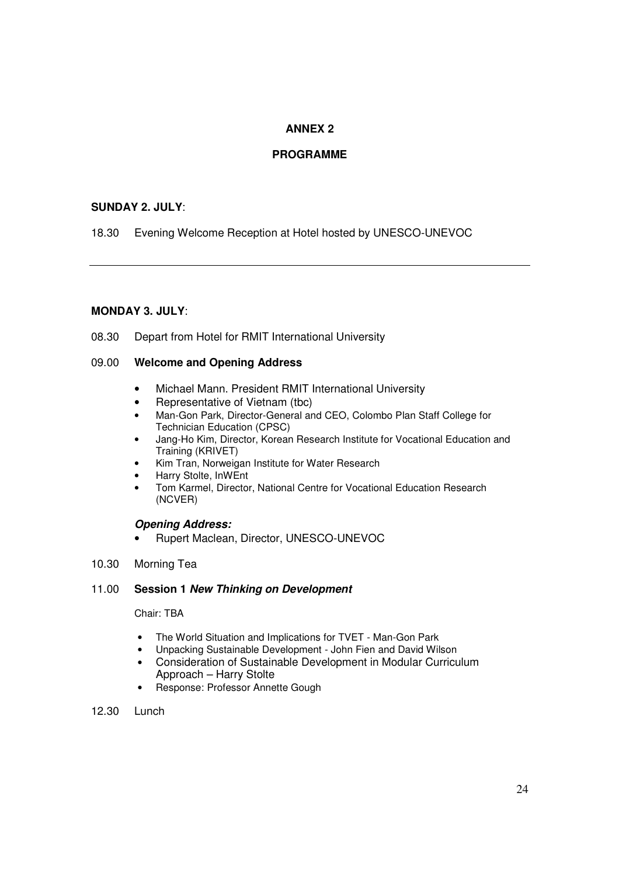### **ANNEX 2**

### **PROGRAMME**

### **SUNDAY 2. JULY**:

18.30 Evening Welcome Reception at Hotel hosted by UNESCO-UNEVOC

### **MONDAY 3. JULY**:

08.30 Depart from Hotel for RMIT International University

### 09.00 **Welcome and Opening Address**

- Michael Mann. President RMIT International University
- Representative of Vietnam (tbc)
- Man-Gon Park, Director-General and CEO, Colombo Plan Staff College for Technician Education (CPSC)
- Jang-Ho Kim, Director, Korean Research Institute for Vocational Education and Training (KRIVET)
- Kim Tran, Norweigan Institute for Water Research
- Harry Stolte, InWEnt
- Tom Karmel, Director, National Centre for Vocational Education Research (NCVER)

### **Opening Address:**

- Rupert Maclean, Director, UNESCO-UNEVOC
- 10.30 Morning Tea

### 11.00 **Session 1 New Thinking on Development**

### Chair: TBA

- The World Situation and Implications for TVET Man-Gon Park
- Unpacking Sustainable Development John Fien and David Wilson
- Consideration of Sustainable Development in Modular Curriculum Approach – Harry Stolte
- Response: Professor Annette Gough
- 12.30 Lunch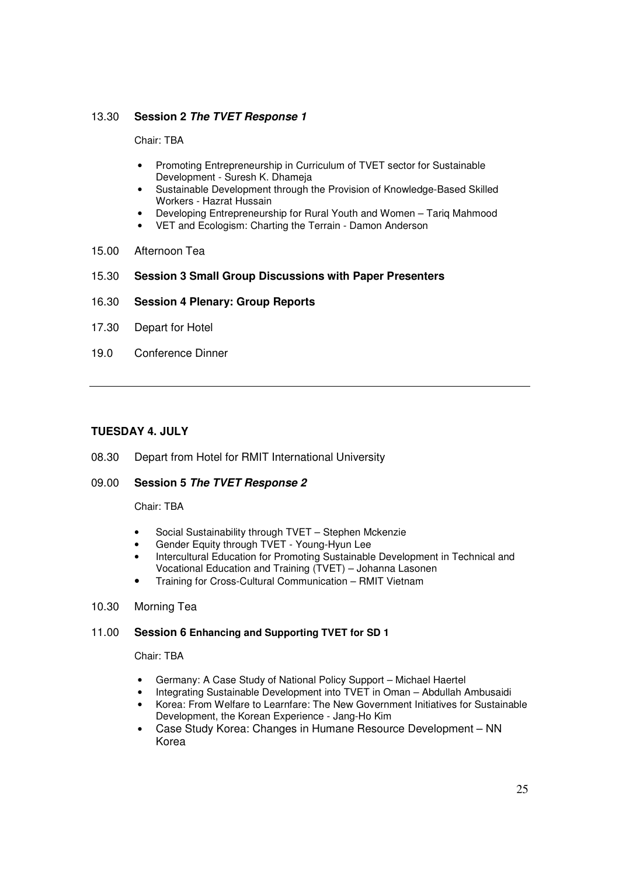### 13.30 **Session 2 The TVET Response 1**

Chair: TBA

- Promoting Entrepreneurship in Curriculum of TVET sector for Sustainable Development - Suresh K. Dhameja
- Sustainable Development through the Provision of Knowledge-Based Skilled Workers - Hazrat Hussain
- Developing Entrepreneurship for Rural Youth and Women Tariq Mahmood
- VET and Ecologism: Charting the Terrain Damon Anderson
- 15.00 Afternoon Tea
- 15.30 **Session 3 Small Group Discussions with Paper Presenters**
- 16.30 **Session 4 Plenary: Group Reports**
- 17.30 Depart for Hotel
- 19.0 Conference Dinner

### **TUESDAY 4. JULY**

08.30 Depart from Hotel for RMIT International University

### 09.00 **Session 5 The TVET Response 2**

Chair: TBA

- Social Sustainability through TVET Stephen Mckenzie
- Gender Equity through TVET Young-Hyun Lee
- Intercultural Education for Promoting Sustainable Development in Technical and Vocational Education and Training (TVET) – Johanna Lasonen
- Training for Cross-Cultural Communication RMIT Vietnam
- 10.30 Morning Tea

### 11.00 **Session 6 Enhancing and Supporting TVET for SD 1**

Chair: TBA

- Germany: A Case Study of National Policy Support Michael Haertel
- Integrating Sustainable Development into TVET in Oman Abdullah Ambusaidi
- Korea: From Welfare to Learnfare: The New Government Initiatives for Sustainable Development, the Korean Experience - Jang-Ho Kim
- Case Study Korea: Changes in Humane Resource Development NN Korea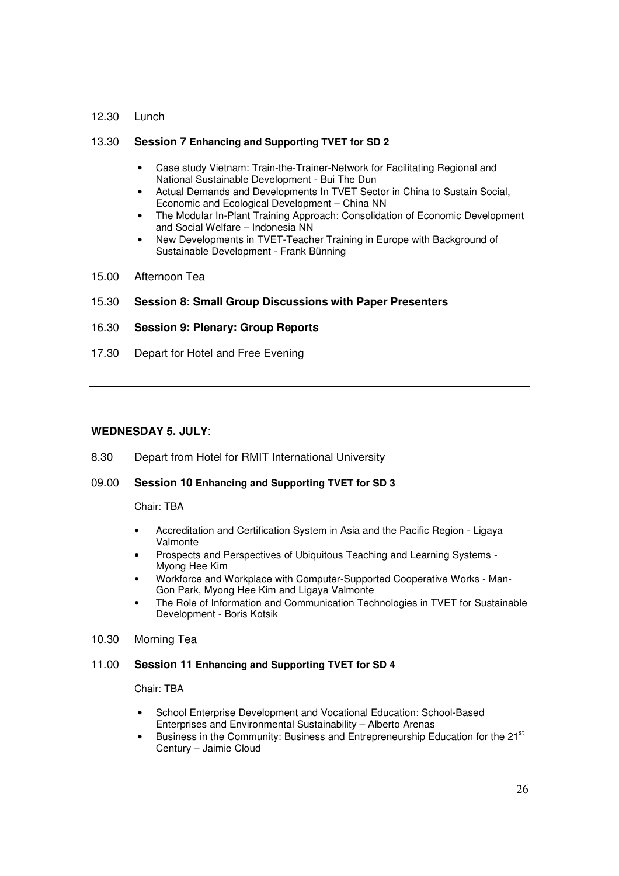#### 12.30 Lunch

### 13.30 **Session 7 Enhancing and Supporting TVET for SD 2**

- Case study Vietnam: Train-the-Trainer-Network for Facilitating Regional and National Sustainable Development - Bui The Dun
- Actual Demands and Developments In TVET Sector in China to Sustain Social, Economic and Ecological Development – China NN
- The Modular In-Plant Training Approach: Consolidation of Economic Development and Social Welfare – Indonesia NN
- New Developments in TVET-Teacher Training in Europe with Background of Sustainable Development - Frank Bünning
- 15.00 Afternoon Tea

### 15.30 **Session 8: Small Group Discussions with Paper Presenters**

### 16.30 **Session 9: Plenary: Group Reports**

17.30 Depart for Hotel and Free Evening

### **WEDNESDAY 5. JULY**:

8.30 Depart from Hotel for RMIT International University

### 09.00 **Session 10 Enhancing and Supporting TVET for SD 3**

Chair: TBA

- Accreditation and Certification System in Asia and the Pacific Region Ligaya Valmonte
- Prospects and Perspectives of Ubiquitous Teaching and Learning Systems Myong Hee Kim
- Workforce and Workplace with Computer-Supported Cooperative Works Man-Gon Park, Myong Hee Kim and Ligaya Valmonte
- The Role of Information and Communication Technologies in TVET for Sustainable Development - Boris Kotsik
- 10.30 Morning Tea

#### 11.00 **Session 11 Enhancing and Supporting TVET for SD 4**

Chair: TBA

- School Enterprise Development and Vocational Education: School-Based Enterprises and Environmental Sustainability – Alberto Arenas
- Business in the Community: Business and Entrepreneurship Education for the 21<sup>st</sup> Century – Jaimie Cloud